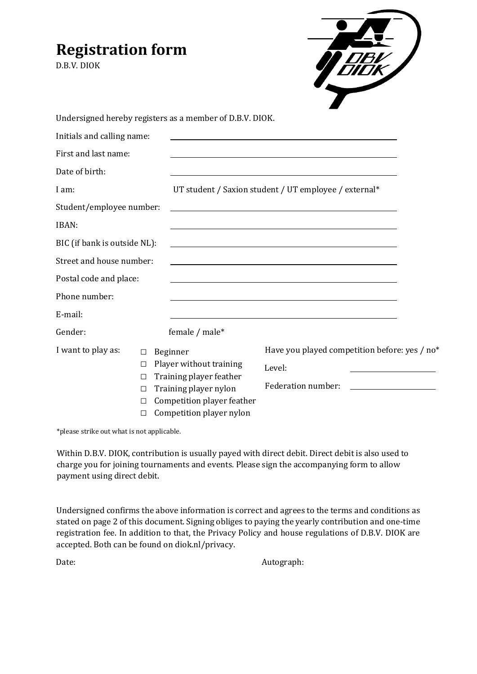# **Registration form**

D.B.V. DIOK

| <b>DB</b>     |
|---------------|
| <b>FIIEIK</b> |
|               |
|               |
|               |
|               |

|                              |        |                                                                                                                       | Undersigned hereby registers as a member of D.B.V. DIOK. |                                                                                                                                                                                                                                                            |  |
|------------------------------|--------|-----------------------------------------------------------------------------------------------------------------------|----------------------------------------------------------|------------------------------------------------------------------------------------------------------------------------------------------------------------------------------------------------------------------------------------------------------------|--|
| Initials and calling name:   |        |                                                                                                                       |                                                          |                                                                                                                                                                                                                                                            |  |
| First and last name:         |        |                                                                                                                       |                                                          |                                                                                                                                                                                                                                                            |  |
| Date of birth:               |        |                                                                                                                       |                                                          |                                                                                                                                                                                                                                                            |  |
| I am:                        |        | UT student / Saxion student / UT employee / external*                                                                 |                                                          |                                                                                                                                                                                                                                                            |  |
| Student/employee number:     |        |                                                                                                                       |                                                          | <u> 1980 - Johann Stoff, deutscher Stoff, der Stoff, der Stoff, der Stoff, der Stoff, der Stoff, der Stoff, der S</u>                                                                                                                                      |  |
| IBAN:                        |        |                                                                                                                       |                                                          | <u> 1989 - Johann Barn, mars ann an t-Amhain ann an t-Amhain ann an t-Amhain ann an t-Amhain an t-Amhain ann an t-</u>                                                                                                                                     |  |
| BIC (if bank is outside NL): |        |                                                                                                                       |                                                          | <u> 1989 - Johann Stoff, deutscher Stoff, der Stoff, der Stoff, der Stoff, der Stoff, der Stoff, der Stoff, der S</u>                                                                                                                                      |  |
| Street and house number:     |        |                                                                                                                       |                                                          |                                                                                                                                                                                                                                                            |  |
| Postal code and place:       |        |                                                                                                                       |                                                          |                                                                                                                                                                                                                                                            |  |
| Phone number:                |        |                                                                                                                       |                                                          |                                                                                                                                                                                                                                                            |  |
| E-mail:                      |        |                                                                                                                       |                                                          |                                                                                                                                                                                                                                                            |  |
| Gender:                      |        |                                                                                                                       | female / male*                                           |                                                                                                                                                                                                                                                            |  |
| I want to play as:           | $\Box$ | Beginner<br>Player without training<br>Training player feather<br>Training player nylon<br>Competition player feather |                                                          | Have you played competition before: yes / no*                                                                                                                                                                                                              |  |
|                              | □      |                                                                                                                       |                                                          | Level:                                                                                                                                                                                                                                                     |  |
|                              | □      |                                                                                                                       |                                                          | Federation number:<br><u> The Communication of the Communication of the Communication of the Communication of the Communication of the Communication of the Communication of the Communication of the Communication of the Communication of the Commun</u> |  |
|                              | $\Box$ |                                                                                                                       |                                                          |                                                                                                                                                                                                                                                            |  |
|                              | $\Box$ |                                                                                                                       |                                                          |                                                                                                                                                                                                                                                            |  |
|                              |        | Competition player nylon                                                                                              |                                                          |                                                                                                                                                                                                                                                            |  |

\*please strike out what is not applicable.

Within D.B.V. DIOK, contribution is usually payed with direct debit. Direct debit is also used to charge you for joining tournaments and events. Please sign the accompanying form to allow payment using direct debit.

Undersigned confirms the above information is correct and agrees to the terms and conditions as stated on page 2 of this document. Signing obliges to paying the yearly contribution and one-time registration fee. In addition to that, the Privacy Policy and house regulations of D.B.V. DIOK are accepted. Both can be found on diok.nl/privacy.

Date: Autograph: Autograph: